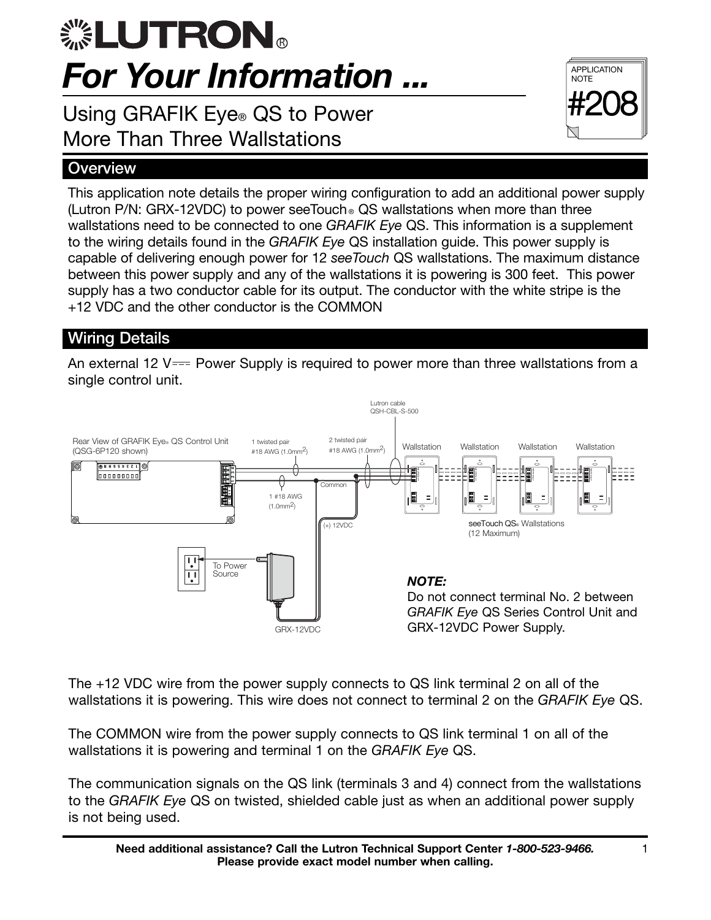# For Your Information ... R

Using GRAFIK Eye® QS to Power More Than Three Wallstations

### **Overview**

This application note details the proper wiring configuration to add an additional power supply (Lutron P/N: GRX-12VDC) to power seeTouch  $_{\circ}$  QS wallstations when more than three wallstations need to be connected to one GRAFIK Eye QS. This information is a supplement to the wiring details found in the GRAFIK Eye QS installation guide. This power supply is capable of delivering enough power for 12 seeTouch QS wallstations. The maximum distance between this power supply and any of the wallstations it is powering is 300 feet. This power supply has a two conductor cable for its output. The conductor with the white stripe is the +12 VDC and the other conductor is the COMMON

## . Wiring Details

An external 12 V $=$  Power Supply is required to power more than three wallstations from a single control unit.



The +12 VDC wire from the power supply connects to QS link terminal 2 on all of the wallstations it is powering. This wire does not connect to terminal 2 on the GRAFIK Eye QS.

The COMMON wire from the power supply connects to QS link terminal 1 on all of the wallstations it is powering and terminal 1 on the GRAFIK Eye QS.

The communication signals on the QS link (terminals 3 and 4) connect from the wallstations to the GRAFIK Eye QS on twisted, shielded cable just as when an additional power supply is not being used.

APPLICATION **NOTE** 

#208